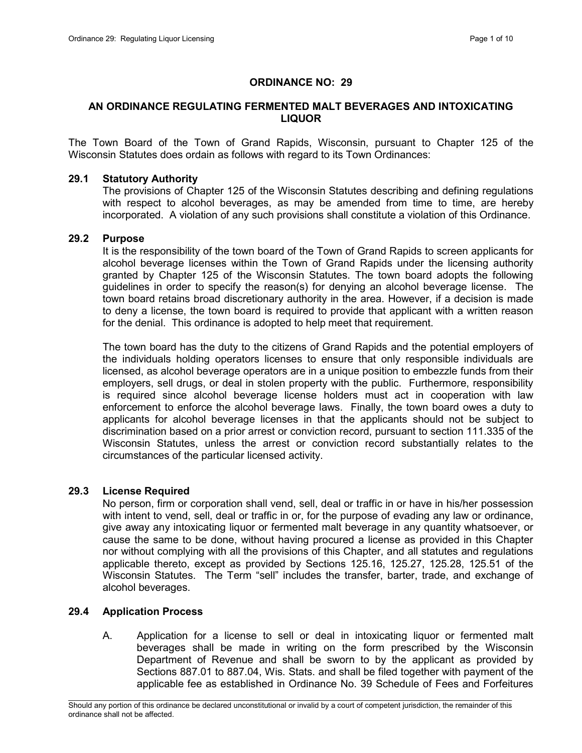# ORDINANCE NO: 29

# AN ORDINANCE REGULATING FERMENTED MALT BEVERAGES AND INTOXICATING LIQUOR

The Town Board of the Town of Grand Rapids, Wisconsin, pursuant to Chapter 125 of the Wisconsin Statutes does ordain as follows with regard to its Town Ordinances:

### 29.1 Statutory Authority

The provisions of Chapter 125 of the Wisconsin Statutes describing and defining regulations with respect to alcohol beverages, as may be amended from time to time, are hereby incorporated. A violation of any such provisions shall constitute a violation of this Ordinance.

#### 29.2 Purpose

It is the responsibility of the town board of the Town of Grand Rapids to screen applicants for alcohol beverage licenses within the Town of Grand Rapids under the licensing authority granted by Chapter 125 of the Wisconsin Statutes. The town board adopts the following guidelines in order to specify the reason(s) for denying an alcohol beverage license. The town board retains broad discretionary authority in the area. However, if a decision is made to deny a license, the town board is required to provide that applicant with a written reason for the denial. This ordinance is adopted to help meet that requirement.

The town board has the duty to the citizens of Grand Rapids and the potential employers of the individuals holding operators licenses to ensure that only responsible individuals are licensed, as alcohol beverage operators are in a unique position to embezzle funds from their employers, sell drugs, or deal in stolen property with the public. Furthermore, responsibility is required since alcohol beverage license holders must act in cooperation with law enforcement to enforce the alcohol beverage laws. Finally, the town board owes a duty to applicants for alcohol beverage licenses in that the applicants should not be subject to discrimination based on a prior arrest or conviction record, pursuant to section 111.335 of the Wisconsin Statutes, unless the arrest or conviction record substantially relates to the circumstances of the particular licensed activity.

## 29.3 License Required

No person, firm or corporation shall vend, sell, deal or traffic in or have in his/her possession with intent to vend, sell, deal or traffic in or, for the purpose of evading any law or ordinance, give away any intoxicating liquor or fermented malt beverage in any quantity whatsoever, or cause the same to be done, without having procured a license as provided in this Chapter nor without complying with all the provisions of this Chapter, and all statutes and regulations applicable thereto, except as provided by Sections 125.16, 125.27, 125.28, 125.51 of the Wisconsin Statutes. The Term "sell" includes the transfer, barter, trade, and exchange of alcohol beverages.

## 29.4 Application Process

A. Application for a license to sell or deal in intoxicating liquor or fermented malt beverages shall be made in writing on the form prescribed by the Wisconsin Department of Revenue and shall be sworn to by the applicant as provided by Sections 887.01 to 887.04, Wis. Stats. and shall be filed together with payment of the applicable fee as established in Ordinance No. 39 Schedule of Fees and Forfeitures

 $\mathcal{L}_\text{max}$ Should any portion of this ordinance be declared unconstitutional or invalid by a court of competent jurisdiction, the remainder of this ordinance shall not be affected.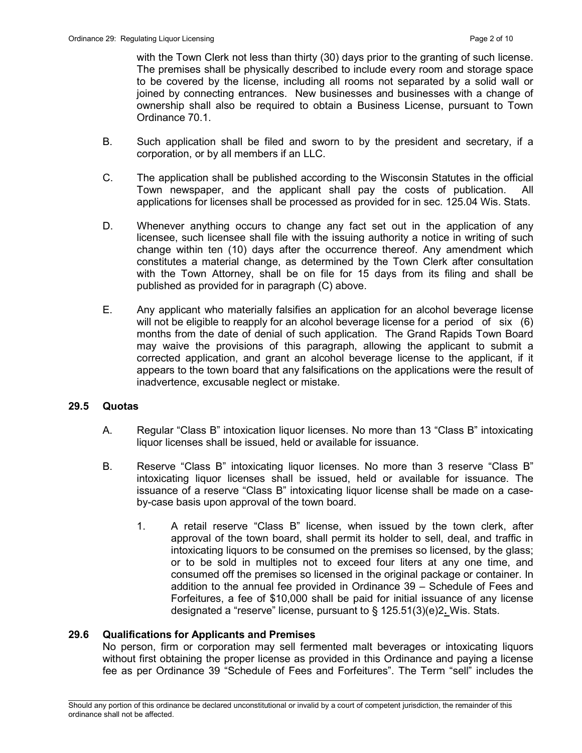with the Town Clerk not less than thirty (30) days prior to the granting of such license. The premises shall be physically described to include every room and storage space to be covered by the license, including all rooms not separated by a solid wall or joined by connecting entrances. New businesses and businesses with a change of ownership shall also be required to obtain a Business License, pursuant to Town Ordinance 70.1.

- B. Such application shall be filed and sworn to by the president and secretary, if a corporation, or by all members if an LLC.
- C. The application shall be published according to the Wisconsin Statutes in the official Town newspaper, and the applicant shall pay the costs of publication. All applications for licenses shall be processed as provided for in sec. 125.04 Wis. Stats.
- D. Whenever anything occurs to change any fact set out in the application of any licensee, such licensee shall file with the issuing authority a notice in writing of such change within ten (10) days after the occurrence thereof. Any amendment which constitutes a material change, as determined by the Town Clerk after consultation with the Town Attorney, shall be on file for 15 days from its filing and shall be published as provided for in paragraph (C) above.
- E. Any applicant who materially falsifies an application for an alcohol beverage license will not be eligible to reapply for an alcohol beverage license for a period of six (6) months from the date of denial of such application. The Grand Rapids Town Board may waive the provisions of this paragraph, allowing the applicant to submit a corrected application, and grant an alcohol beverage license to the applicant, if it appears to the town board that any falsifications on the applications were the result of inadvertence, excusable neglect or mistake.

## 29.5 Quotas

- A. Regular "Class B" intoxication liquor licenses. No more than 13 "Class B" intoxicating liquor licenses shall be issued, held or available for issuance.
- B. Reserve "Class B" intoxicating liquor licenses. No more than 3 reserve "Class B" intoxicating liquor licenses shall be issued, held or available for issuance. The issuance of a reserve "Class B" intoxicating liquor license shall be made on a caseby-case basis upon approval of the town board.
	- 1. A retail reserve "Class B" license, when issued by the town clerk, after approval of the town board, shall permit its holder to sell, deal, and traffic in intoxicating liquors to be consumed on the premises so licensed, by the glass; or to be sold in multiples not to exceed four liters at any one time, and consumed off the premises so licensed in the original package or container. In addition to the annual fee provided in Ordinance 39 – Schedule of Fees and Forfeitures, a fee of \$10,000 shall be paid for initial issuance of any license designated a "reserve" license, pursuant to § 125.51(3)(e)2. Wis. Stats.

## 29.6 Qualifications for Applicants and Premises

No person, firm or corporation may sell fermented malt beverages or intoxicating liquors without first obtaining the proper license as provided in this Ordinance and paying a license fee as per Ordinance 39 "Schedule of Fees and Forfeitures". The Term "sell" includes the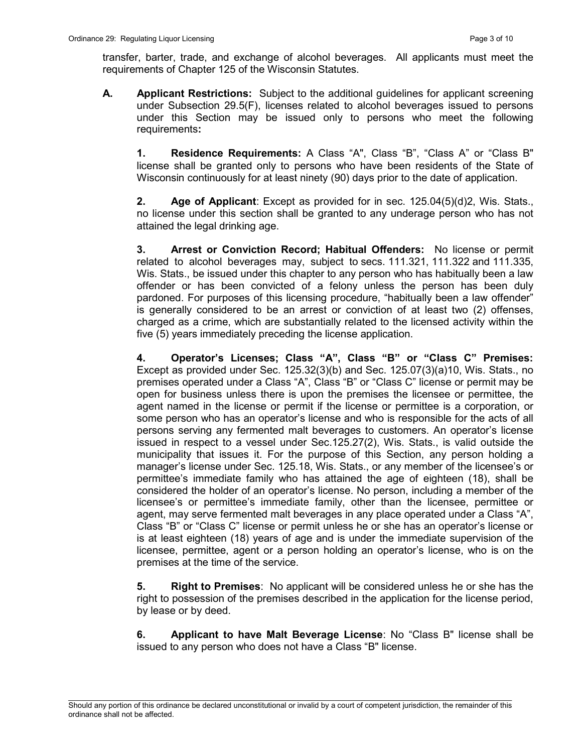transfer, barter, trade, and exchange of alcohol beverages. All applicants must meet the requirements of Chapter 125 of the Wisconsin Statutes.

A. Applicant Restrictions: Subject to the additional guidelines for applicant screening under Subsection 29.5(F), licenses related to alcohol beverages issued to persons under this Section may be issued only to persons who meet the following requirements:

1. Residence Requirements: A Class "A", Class "B", "Class A" or "Class B" license shall be granted only to persons who have been residents of the State of Wisconsin continuously for at least ninety (90) days prior to the date of application.

2. Age of Applicant: Except as provided for in sec. 125.04(5)(d)2, Wis. Stats., no license under this section shall be granted to any underage person who has not attained the legal drinking age.

3. Arrest or Conviction Record; Habitual Offenders: No license or permit related to alcohol beverages may, subject to secs. 111.321, 111.322 and 111.335, Wis. Stats., be issued under this chapter to any person who has habitually been a law offender or has been convicted of a felony unless the person has been duly pardoned. For purposes of this licensing procedure, "habitually been a law offender" is generally considered to be an arrest or conviction of at least two (2) offenses, charged as a crime, which are substantially related to the licensed activity within the five (5) years immediately preceding the license application.

4. Operator's Licenses; Class "A", Class "B" or "Class C" Premises: Except as provided under Sec. 125.32(3)(b) and Sec. 125.07(3)(a)10, Wis. Stats., no premises operated under a Class "A", Class "B" or "Class C" license or permit may be open for business unless there is upon the premises the licensee or permittee, the agent named in the license or permit if the license or permittee is a corporation, or some person who has an operator's license and who is responsible for the acts of all persons serving any fermented malt beverages to customers. An operator's license issued in respect to a vessel under Sec.125.27(2), Wis. Stats., is valid outside the municipality that issues it. For the purpose of this Section, any person holding a manager's license under Sec. 125.18, Wis. Stats., or any member of the licensee's or permittee's immediate family who has attained the age of eighteen (18), shall be considered the holder of an operator's license. No person, including a member of the licensee's or permittee's immediate family, other than the licensee, permittee or agent, may serve fermented malt beverages in any place operated under a Class "A", Class "B" or "Class C" license or permit unless he or she has an operator's license or is at least eighteen (18) years of age and is under the immediate supervision of the licensee, permittee, agent or a person holding an operator's license, who is on the premises at the time of the service.

5. Right to Premises: No applicant will be considered unless he or she has the right to possession of the premises described in the application for the license period, by lease or by deed.

6. Applicant to have Malt Beverage License: No "Class B" license shall be issued to any person who does not have a Class "B" license.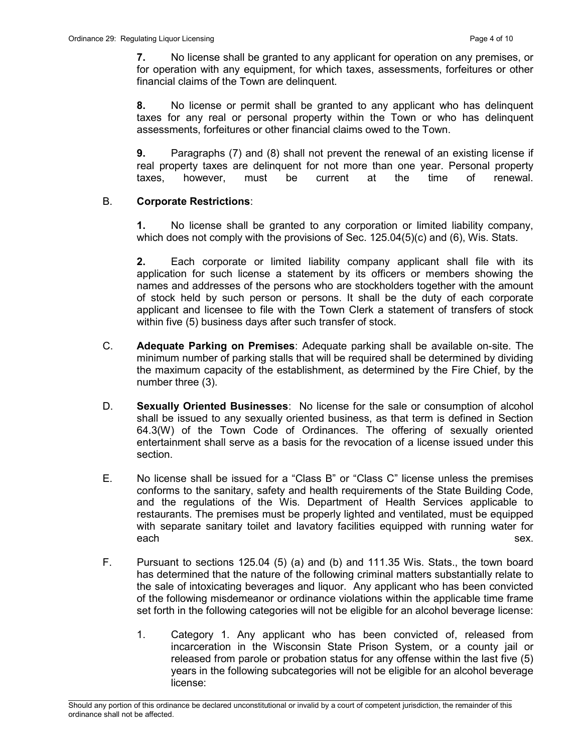7. No license shall be granted to any applicant for operation on any premises, or for operation with any equipment, for which taxes, assessments, forfeitures or other financial claims of the Town are delinquent.

8. No license or permit shall be granted to any applicant who has delinquent taxes for any real or personal property within the Town or who has delinquent assessments, forfeitures or other financial claims owed to the Town.

9. Paragraphs (7) and (8) shall not prevent the renewal of an existing license if real property taxes are delinquent for not more than one year. Personal property taxes, however, must be current at the time of renewal.

# B. Corporate Restrictions:

1. No license shall be granted to any corporation or limited liability company, which does not comply with the provisions of Sec. 125.04(5)(c) and (6), Wis. Stats.

2. Each corporate or limited liability company applicant shall file with its application for such license a statement by its officers or members showing the names and addresses of the persons who are stockholders together with the amount of stock held by such person or persons. It shall be the duty of each corporate applicant and licensee to file with the Town Clerk a statement of transfers of stock within five (5) business days after such transfer of stock.

- C. Adequate Parking on Premises: Adequate parking shall be available on-site. The minimum number of parking stalls that will be required shall be determined by dividing the maximum capacity of the establishment, as determined by the Fire Chief, by the number three (3).
- D. Sexually Oriented Businesses: No license for the sale or consumption of alcohol shall be issued to any sexually oriented business, as that term is defined in Section 64.3(W) of the Town Code of Ordinances. The offering of sexually oriented entertainment shall serve as a basis for the revocation of a license issued under this section.
- E. No license shall be issued for a "Class B" or "Class C" license unless the premises conforms to the sanitary, safety and health requirements of the State Building Code, and the regulations of the Wis. Department of Health Services applicable to restaurants. The premises must be properly lighted and ventilated, must be equipped with separate sanitary toilet and lavatory facilities equipped with running water for each sex.
- F. Pursuant to sections 125.04 (5) (a) and (b) and 111.35 Wis. Stats., the town board has determined that the nature of the following criminal matters substantially relate to the sale of intoxicating beverages and liquor. Any applicant who has been convicted of the following misdemeanor or ordinance violations within the applicable time frame set forth in the following categories will not be eligible for an alcohol beverage license:
	- 1. Category 1. Any applicant who has been convicted of, released from incarceration in the Wisconsin State Prison System, or a county jail or released from parole or probation status for any offense within the last five (5) years in the following subcategories will not be eligible for an alcohol beverage license:

 $\mathcal{L}_\text{max}$ Should any portion of this ordinance be declared unconstitutional or invalid by a court of competent jurisdiction, the remainder of this ordinance shall not be affected.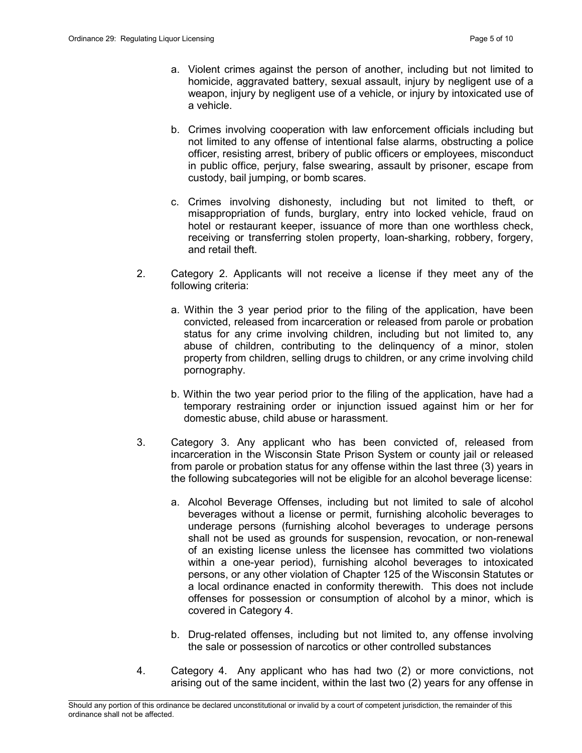- a. Violent crimes against the person of another, including but not limited to homicide, aggravated battery, sexual assault, injury by negligent use of a weapon, injury by negligent use of a vehicle, or injury by intoxicated use of a vehicle.
- b. Crimes involving cooperation with law enforcement officials including but not limited to any offense of intentional false alarms, obstructing a police officer, resisting arrest, bribery of public officers or employees, misconduct in public office, perjury, false swearing, assault by prisoner, escape from custody, bail jumping, or bomb scares.
- c. Crimes involving dishonesty, including but not limited to theft, or misappropriation of funds, burglary, entry into locked vehicle, fraud on hotel or restaurant keeper, issuance of more than one worthless check, receiving or transferring stolen property, loan-sharking, robbery, forgery, and retail theft.
- 2. Category 2. Applicants will not receive a license if they meet any of the following criteria:
	- a. Within the 3 year period prior to the filing of the application, have been convicted, released from incarceration or released from parole or probation status for any crime involving children, including but not limited to, any abuse of children, contributing to the delinquency of a minor, stolen property from children, selling drugs to children, or any crime involving child pornography.
	- b. Within the two year period prior to the filing of the application, have had a temporary restraining order or injunction issued against him or her for domestic abuse, child abuse or harassment.
- 3. Category 3. Any applicant who has been convicted of, released from incarceration in the Wisconsin State Prison System or county jail or released from parole or probation status for any offense within the last three (3) years in the following subcategories will not be eligible for an alcohol beverage license:
	- a. Alcohol Beverage Offenses, including but not limited to sale of alcohol beverages without a license or permit, furnishing alcoholic beverages to underage persons (furnishing alcohol beverages to underage persons shall not be used as grounds for suspension, revocation, or non-renewal of an existing license unless the licensee has committed two violations within a one-year period), furnishing alcohol beverages to intoxicated persons, or any other violation of Chapter 125 of the Wisconsin Statutes or a local ordinance enacted in conformity therewith. This does not include offenses for possession or consumption of alcohol by a minor, which is covered in Category 4.
	- b. Drug-related offenses, including but not limited to, any offense involving the sale or possession of narcotics or other controlled substances
- 4. Category 4. Any applicant who has had two (2) or more convictions, not arising out of the same incident, within the last two (2) years for any offense in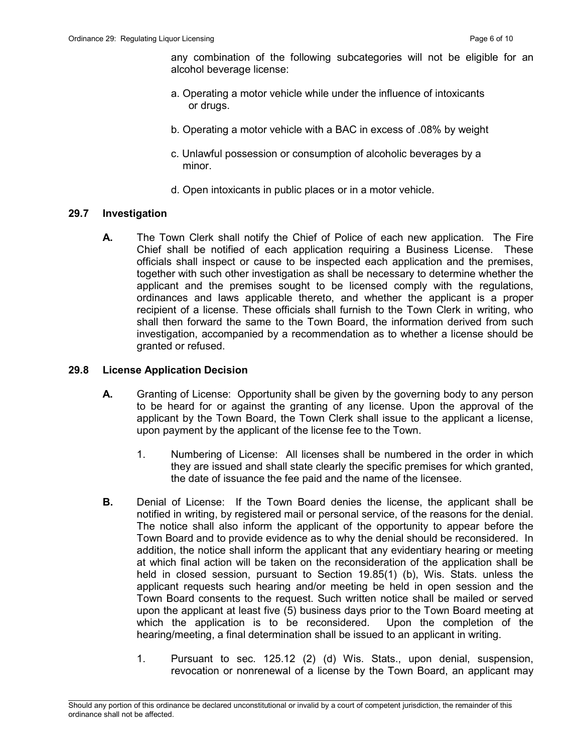any combination of the following subcategories will not be eligible for an alcohol beverage license:

- a. Operating a motor vehicle while under the influence of intoxicants or drugs.
- b. Operating a motor vehicle with a BAC in excess of .08% by weight
- c. Unlawful possession or consumption of alcoholic beverages by a minor.
- d. Open intoxicants in public places or in a motor vehicle.

### 29.7 Investigation

**A.** The Town Clerk shall notify the Chief of Police of each new application. The Fire Chief shall be notified of each application requiring a Business License. These officials shall inspect or cause to be inspected each application and the premises, together with such other investigation as shall be necessary to determine whether the applicant and the premises sought to be licensed comply with the regulations, ordinances and laws applicable thereto, and whether the applicant is a proper recipient of a license. These officials shall furnish to the Town Clerk in writing, who shall then forward the same to the Town Board, the information derived from such investigation, accompanied by a recommendation as to whether a license should be granted or refused.

#### 29.8 License Application Decision

- A. Granting of License: Opportunity shall be given by the governing body to any person to be heard for or against the granting of any license. Upon the approval of the applicant by the Town Board, the Town Clerk shall issue to the applicant a license, upon payment by the applicant of the license fee to the Town.
	- 1. Numbering of License: All licenses shall be numbered in the order in which they are issued and shall state clearly the specific premises for which granted, the date of issuance the fee paid and the name of the licensee.
- B. Denial of License: If the Town Board denies the license, the applicant shall be notified in writing, by registered mail or personal service, of the reasons for the denial. The notice shall also inform the applicant of the opportunity to appear before the Town Board and to provide evidence as to why the denial should be reconsidered. In addition, the notice shall inform the applicant that any evidentiary hearing or meeting at which final action will be taken on the reconsideration of the application shall be held in closed session, pursuant to Section 19.85(1) (b), Wis. Stats. unless the applicant requests such hearing and/or meeting be held in open session and the Town Board consents to the request. Such written notice shall be mailed or served upon the applicant at least five (5) business days prior to the Town Board meeting at which the application is to be reconsidered. Upon the completion of the hearing/meeting, a final determination shall be issued to an applicant in writing.
	- 1. Pursuant to sec. 125.12 (2) (d) Wis. Stats., upon denial, suspension, revocation or nonrenewal of a license by the Town Board, an applicant may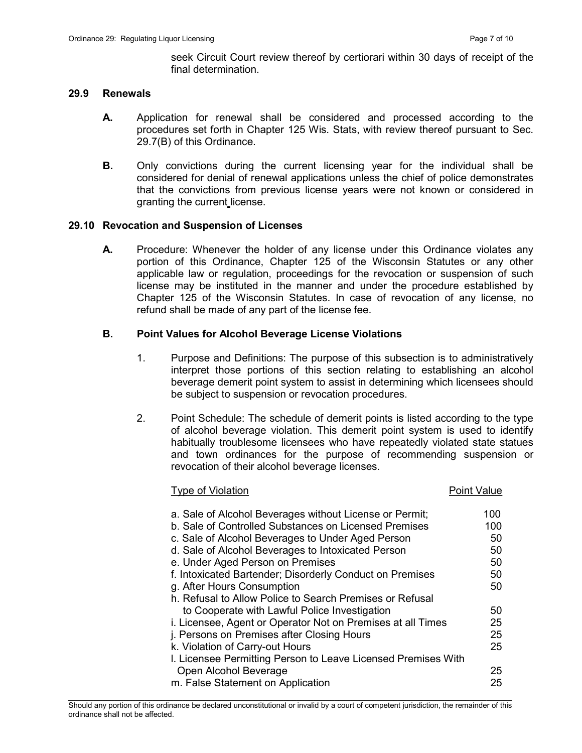seek Circuit Court review thereof by certiorari within 30 days of receipt of the final determination.

### 29.9 Renewals

- A. Application for renewal shall be considered and processed according to the procedures set forth in Chapter 125 Wis. Stats, with review thereof pursuant to Sec. 29.7(B) of this Ordinance.
- **B.** Only convictions during the current licensing year for the individual shall be considered for denial of renewal applications unless the chief of police demonstrates that the convictions from previous license years were not known or considered in granting the current license.

#### 29.10 Revocation and Suspension of Licenses

A. Procedure: Whenever the holder of any license under this Ordinance violates any portion of this Ordinance, Chapter 125 of the Wisconsin Statutes or any other applicable law or regulation, proceedings for the revocation or suspension of such license may be instituted in the manner and under the procedure established by Chapter 125 of the Wisconsin Statutes. In case of revocation of any license, no refund shall be made of any part of the license fee.

#### B. Point Values for Alcohol Beverage License Violations

- 1. Purpose and Definitions: The purpose of this subsection is to administratively interpret those portions of this section relating to establishing an alcohol beverage demerit point system to assist in determining which licensees should be subject to suspension or revocation procedures.
- 2. Point Schedule: The schedule of demerit points is listed according to the type of alcohol beverage violation. This demerit point system is used to identify habitually troublesome licensees who have repeatedly violated state statues and town ordinances for the purpose of recommending suspension or revocation of their alcohol beverage licenses.

#### Type of Violation **Point Value** Point Value

| a. Sale of Alcohol Beverages without License or Permit;       | 100 |
|---------------------------------------------------------------|-----|
| b. Sale of Controlled Substances on Licensed Premises         | 100 |
| c. Sale of Alcohol Beverages to Under Aged Person             | 50  |
| d. Sale of Alcohol Beverages to Intoxicated Person            | 50  |
| e. Under Aged Person on Premises                              | 50  |
| f. Intoxicated Bartender; Disorderly Conduct on Premises      | 50  |
| g. After Hours Consumption                                    | 50  |
| h. Refusal to Allow Police to Search Premises or Refusal      |     |
| to Cooperate with Lawful Police Investigation                 | 50  |
| i. Licensee, Agent or Operator Not on Premises at all Times   | 25  |
| j. Persons on Premises after Closing Hours                    | 25  |
| k. Violation of Carry-out Hours                               | 25  |
| I. Licensee Permitting Person to Leave Licensed Premises With |     |
| Open Alcohol Beverage                                         | 25  |
| m. False Statement on Application                             | 25  |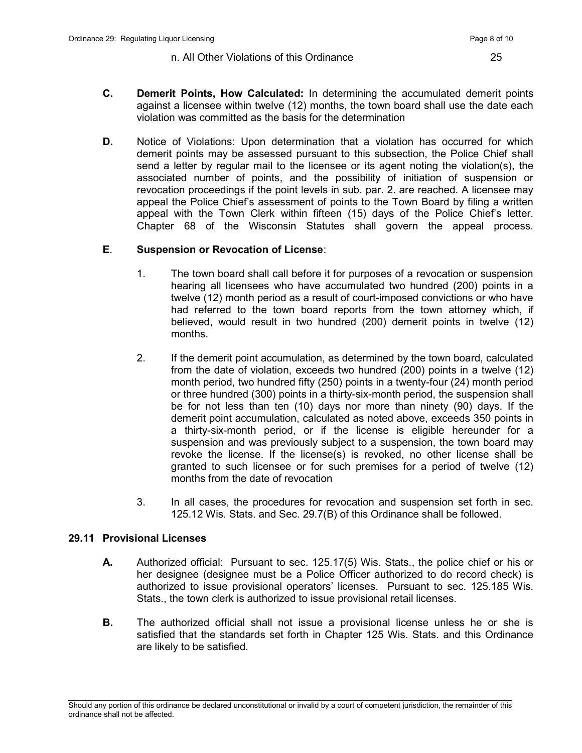- C. Demerit Points, How Calculated: In determining the accumulated demerit points against a licensee within twelve (12) months, the town board shall use the date each violation was committed as the basis for the determination
- **D.** Notice of Violations: Upon determination that a violation has occurred for which demerit points may be assessed pursuant to this subsection, the Police Chief shall send a letter by regular mail to the licensee or its agent noting the violation(s), the associated number of points, and the possibility of initiation of suspension or revocation proceedings if the point levels in sub. par. 2. are reached. A licensee may appeal the Police Chief's assessment of points to the Town Board by filing a written appeal with the Town Clerk within fifteen (15) days of the Police Chief's letter. Chapter 68 of the Wisconsin Statutes shall govern the appeal process.

# E. Suspension or Revocation of License:

- 1. The town board shall call before it for purposes of a revocation or suspension hearing all licensees who have accumulated two hundred (200) points in a twelve (12) month period as a result of court-imposed convictions or who have had referred to the town board reports from the town attorney which, if believed, would result in two hundred (200) demerit points in twelve (12) months.
- 2. If the demerit point accumulation, as determined by the town board, calculated from the date of violation, exceeds two hundred (200) points in a twelve (12) month period, two hundred fifty (250) points in a twenty-four (24) month period or three hundred (300) points in a thirty-six-month period, the suspension shall be for not less than ten (10) days nor more than ninety (90) days. If the demerit point accumulation, calculated as noted above, exceeds 350 points in a thirty-six-month period, or if the license is eligible hereunder for a suspension and was previously subject to a suspension, the town board may revoke the license. If the license(s) is revoked, no other license shall be granted to such licensee or for such premises for a period of twelve (12) months from the date of revocation
- 3. In all cases, the procedures for revocation and suspension set forth in sec. 125.12 Wis. Stats. and Sec. 29.7(B) of this Ordinance shall be followed.

# 29.11 Provisional Licenses

- A. Authorized official: Pursuant to sec. 125.17(5) Wis. Stats., the police chief or his or her designee (designee must be a Police Officer authorized to do record check) is authorized to issue provisional operators' licenses. Pursuant to sec. 125.185 Wis. Stats., the town clerk is authorized to issue provisional retail licenses.
- **B.** The authorized official shall not issue a provisional license unless he or she is satisfied that the standards set forth in Chapter 125 Wis. Stats. and this Ordinance are likely to be satisfied.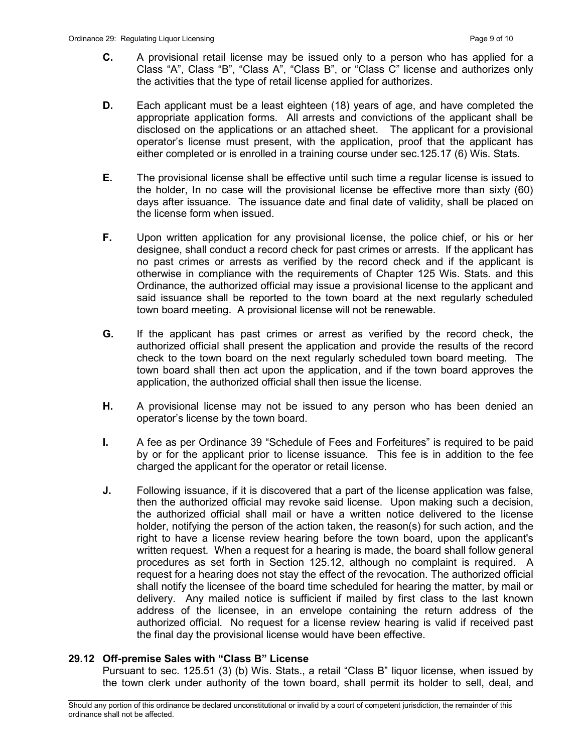- C. A provisional retail license may be issued only to a person who has applied for a Class "A", Class "B", "Class A", "Class B", or "Class C" license and authorizes only the activities that the type of retail license applied for authorizes.
- D. Each applicant must be a least eighteen (18) years of age, and have completed the appropriate application forms. All arrests and convictions of the applicant shall be disclosed on the applications or an attached sheet. The applicant for a provisional operator's license must present, with the application, proof that the applicant has either completed or is enrolled in a training course under sec.125.17 (6) Wis. Stats.
- E. The provisional license shall be effective until such time a regular license is issued to the holder, In no case will the provisional license be effective more than sixty (60) days after issuance. The issuance date and final date of validity, shall be placed on the license form when issued.
- F. Upon written application for any provisional license, the police chief, or his or her designee, shall conduct a record check for past crimes or arrests. If the applicant has no past crimes or arrests as verified by the record check and if the applicant is otherwise in compliance with the requirements of Chapter 125 Wis. Stats. and this Ordinance, the authorized official may issue a provisional license to the applicant and said issuance shall be reported to the town board at the next regularly scheduled town board meeting. A provisional license will not be renewable.
- G. If the applicant has past crimes or arrest as verified by the record check, the authorized official shall present the application and provide the results of the record check to the town board on the next regularly scheduled town board meeting. The town board shall then act upon the application, and if the town board approves the application, the authorized official shall then issue the license.
- **H.** A provisional license may not be issued to any person who has been denied an operator's license by the town board.
- I. A fee as per Ordinance 39 "Schedule of Fees and Forfeitures" is required to be paid by or for the applicant prior to license issuance. This fee is in addition to the fee charged the applicant for the operator or retail license.
- J. Following issuance, if it is discovered that a part of the license application was false, then the authorized official may revoke said license. Upon making such a decision, the authorized official shall mail or have a written notice delivered to the license holder, notifying the person of the action taken, the reason(s) for such action, and the right to have a license review hearing before the town board, upon the applicant's written request. When a request for a hearing is made, the board shall follow general procedures as set forth in Section 125.12, although no complaint is required. A request for a hearing does not stay the effect of the revocation. The authorized official shall notify the licensee of the board time scheduled for hearing the matter, by mail or delivery. Any mailed notice is sufficient if mailed by first class to the last known address of the licensee, in an envelope containing the return address of the authorized official. No request for a license review hearing is valid if received past the final day the provisional license would have been effective.

# 29.12 Off-premise Sales with "Class B" License

 Pursuant to sec. 125.51 (3) (b) Wis. Stats., a retail "Class B" liquor license, when issued by the town clerk under authority of the town board, shall permit its holder to sell, deal, and